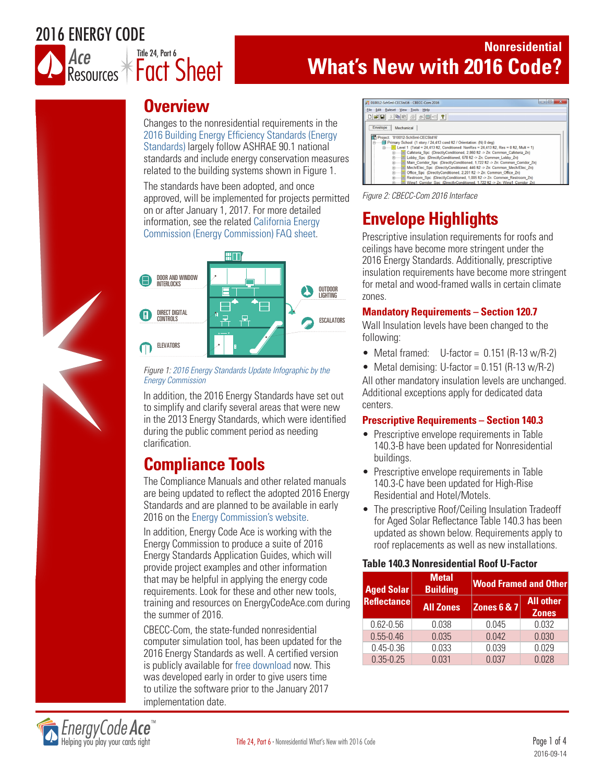# 2016 ENERGY CODE



## **Nonresidential What's New with 2016 Code?**

# **Overview**

Changes to the nonresidential requirements in the 2016 Building Energy Efficiency Standards (Energy Standards) largely follow ASHRAE 90.1 national standards and include energy conservation measures related to the building systems shown in Figure 1.

The standards have been adopted, and once approved, will be implemented for projects permitted on or after January 1, 2017. For more detailed information, see the related California Energy Commission (Energy Commission) FAQ sheet.



#### *Figure 1: 2016 Energy Standards Update Infographic by the Energy Commission*

In addition, the 2016 Energy Standards have set out to simplify and clarify several areas that were new in the 2013 Energy Standards, which were identified during the public comment period as needing clarification.

# **Compliance Tools**

The Compliance Manuals and other related manuals are being updated to reflect the adopted 2016 Energy Standards and are planned to be available in early 2016 on the Energy Commission's website.

In addition, Energy Code Ace is working with the Energy Commission to produce a suite of 2016 Energy Standards Application Guides, which will provide project examples and other information that may be helpful in applying the energy code requirements. Look for these and other new tools, training and resources on EnergyCodeAce.com during the summer of 2016.

CBECC-Com, the state-funded nonresidential computer simulation tool, has been updated for the 2016 Energy Standards as well. A certified version is publicly available for free download now. This was developed early in order to give users time to utilize the software prior to the January 2017 implementation date.



# **Envelope Highlights**

Prescriptive insulation requirements for roofs and ceilings have become more stringent under the 2016 Energy Standards. Additionally, prescriptive insulation requirements have become more stringent for metal and wood-framed walls in certain climate zones.

## **Mandatory Requirements – Section 120.7**

Wall Insulation levels have been changed to the following:

- Metal framed:  $U-factor = 0.151 (R-13 w/R-2)$
- Metal demising: U-factor =  $0.151$  (R-13 w/R-2)

All other mandatory insulation levels are unchanged. Additional exceptions apply for dedicated data centers.

## **Prescriptive Requirements – Section 140.3**

- Prescriptive envelope requirements in Table 140.3-B have been updated for Nonresidential buildings.
- Prescriptive envelope requirements in Table 140.3-C have been updated for High-Rise Residential and Hotel/Motels.
- The prescriptive Roof/Ceiling Insulation Tradeoff for Aged Solar Reflectance Table 140.3 has been updated as shown below. Requirements apply to roof replacements as well as new installations.

## **Table 140.3 Nonresidential Roof U-Factor**

| <b>Aged Solar</b>  | <b>Metal</b><br><b>Building</b> | <b>Wood Framed and Other</b> |                                  |
|--------------------|---------------------------------|------------------------------|----------------------------------|
| <b>Reflectance</b> | <b>All Zones</b>                | <b>Zones 6 &amp; 7</b>       | <b>All other</b><br><b>Zones</b> |
| $0.62 - 0.56$      | 0.038                           | 0.045                        | 0.032                            |
| $0.55 - 0.46$      | 0.035                           | 0.042                        | 0.030                            |
| $0.45 - 0.36$      | 0.033                           | 0.039                        | 0.029                            |
| $0.35 - 0.25$      | 0.031                           | 0.037                        | በ በ28                            |

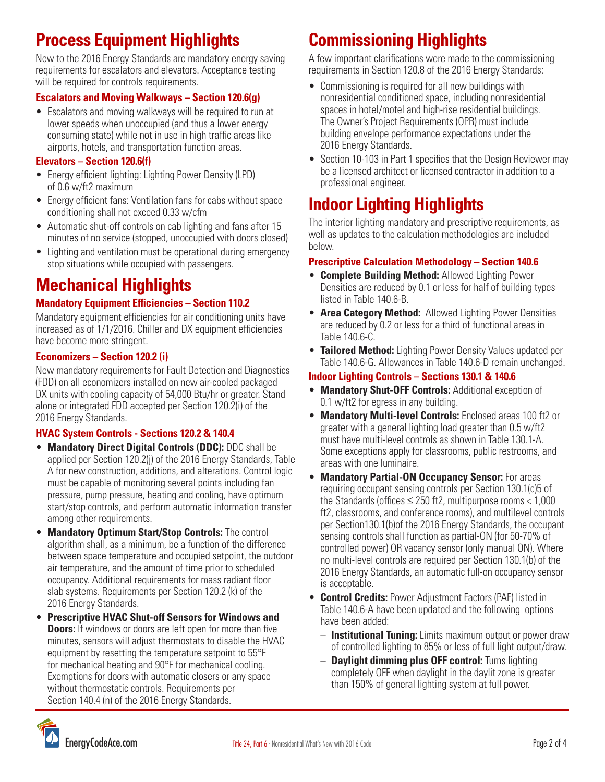# **Process Equipment Highlights**

New to the 2016 Energy Standards are mandatory energy saving requirements for escalators and elevators. Acceptance testing will be required for controls requirements.

## **Escalators and Moving Walkways – Section 120.6(g)**

• Escalators and moving walkways will be required to run at lower speeds when unoccupied (and thus a lower energy consuming state) while not in use in high traffic areas like airports, hotels, and transportation function areas.

### **Elevators – Section 120.6(f)**

- Energy efficient lighting: Lighting Power Density (LPD) of 0.6 w/ft2 maximum
- Energy efficient fans: Ventilation fans for cabs without space conditioning shall not exceed 0.33 w/cfm
- Automatic shut-off controls on cab lighting and fans after 15 minutes of no service (stopped, unoccupied with doors closed)
- Lighting and ventilation must be operational during emergency stop situations while occupied with passengers.

# **Mechanical Highlights**

### **Mandatory Equipment Efficiencies – Section 110.2**

Mandatory equipment efficiencies for air conditioning units have increased as of 1/1/2016. Chiller and DX equipment efficiencies have become more stringent.

### **Economizers – Section 120.2 (i)**

New mandatory requirements for Fault Detection and Diagnostics (FDD) on all economizers installed on new air-cooled packaged DX units with cooling capacity of 54,000 Btu/hr or greater. Stand alone or integrated FDD accepted per Section 120.2(i) of the 2016 Energy Standards.

### **HVAC System Controls - Sections 120.2 & 140.4**

- **Mandatory Direct Digital Controls (DDC):** DDC shall be applied per Section 120.2(j) of the 2016 Energy Standards, Table A for new construction, additions, and alterations. Control logic must be capable of monitoring several points including fan pressure, pump pressure, heating and cooling, have optimum start/stop controls, and perform automatic information transfer among other requirements.
- **Mandatory Optimum Start/Stop Controls:** The control algorithm shall, as a minimum, be a function of the difference between space temperature and occupied setpoint, the outdoor air temperature, and the amount of time prior to scheduled occupancy. Additional requirements for mass radiant floor slab systems. Requirements per Section 120.2 (k) of the 2016 Energy Standards.
- **Prescriptive HVAC Shut-off Sensors for Windows and Doors:** If windows or doors are left open for more than five minutes, sensors will adjust thermostats to disable the HVAC equipment by resetting the temperature setpoint to 55°F for mechanical heating and 90°F for mechanical cooling. Exemptions for doors with automatic closers or any space without thermostatic controls. Requirements per Section 140.4 (n) of the 2016 Energy Standards.

# **Commissioning Highlights**

A few important clarifications were made to the commissioning requirements in Section 120.8 of the 2016 Energy Standards:

- Commissioning is required for all new buildings with nonresidential conditioned space, including nonresidential spaces in hotel/motel and high-rise residential buildings. The Owner's Project Requirements (OPR) must include building envelope performance expectations under the 2016 Energy Standards.
- Section 10-103 in Part 1 specifies that the Design Reviewer may be a licensed architect or licensed contractor in addition to a professional engineer.

# **Indoor Lighting Highlights**

The interior lighting mandatory and prescriptive requirements, as well as updates to the calculation methodologies are included below.

#### **Prescriptive Calculation Methodology – Section 140.6**

- **Complete Building Method:** Allowed Lighting Power Densities are reduced by 0.1 or less for half of building types listed in Table 140.6-B.
- **Area Category Method:** Allowed Lighting Power Densities are reduced by 0.2 or less for a third of functional areas in Table 140.6-C.
- **Tailored Method:** Lighting Power Density Values updated per Table 140.6-G. Allowances in Table 140.6-D remain unchanged.

#### **Indoor Lighting Controls – Sections 130.1 & 140.6**

- **Mandatory Shut-OFF Controls:** Additional exception of 0.1 w/ft2 for egress in any building.
- **Mandatory Multi-level Controls:** Enclosed areas 100 ft2 or greater with a general lighting load greater than 0.5 w/ft2 must have multi-level controls as shown in Table 130.1-A. Some exceptions apply for classrooms, public restrooms, and areas with one luminaire.
- **Mandatory Partial-ON Occupancy Sensor:** For areas requiring occupant sensing controls per Section 130.1(c)5 of the Standards (offices  $\leq$  250 ft2, multipurpose rooms  $<$  1,000 ft2, classrooms, and conference rooms), and multilevel controls per Section130.1(b)of the 2016 Energy Standards, the occupant sensing controls shall function as partial-ON (for 50-70% of controlled power) OR vacancy sensor (only manual ON). Where no multi-level controls are required per Section 130.1(b) of the 2016 Energy Standards, an automatic full-on occupancy sensor is acceptable.
- **Control Credits:** Power Adjustment Factors (PAF) listed in Table 140.6-A have been updated and the following options have been added:
	- **Institutional Tuning:** Limits maximum output or power draw of controlled lighting to 85% or less of full light output/draw.
	- **Daylight dimming plus OFF control:** Turns lighting completely OFF when daylight in the daylit zone is greater than 150% of general lighting system at full power.

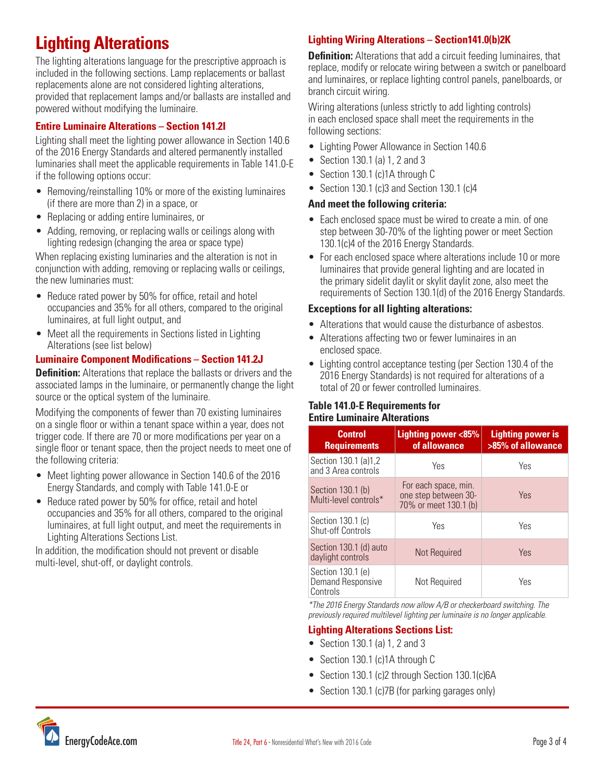# **Lighting Alterations**

The lighting alterations language for the prescriptive approach is included in the following sections. Lamp replacements or ballast replacements alone are not considered lighting alterations, provided that replacement lamps and/or ballasts are installed and powered without modifying the luminaire.

### **Entire Luminaire Alterations – Section 141.2I**

Lighting shall meet the lighting power allowance in Section 140.6 of the 2016 Energy Standards and altered permanently installed luminaries shall meet the applicable requirements in Table 141.0-E if the following options occur:

- Removing/reinstalling 10% or more of the existing luminaires (if there are more than 2) in a space, or
- Replacing or adding entire luminaires, or
- Adding, removing, or replacing walls or ceilings along with lighting redesign (changing the area or space type)

When replacing existing luminaries and the alteration is not in conjunction with adding, removing or replacing walls or ceilings, the new luminaries must:

- Reduce rated power by 50% for office, retail and hotel occupancies and 35% for all others, compared to the original luminaires, at full light output, and
- Meet all the requirements in Sections listed in Lighting Alterations (see list below)

### **Luminaire Component Modifications – Section 141.2J**

**Definition:** Alterations that replace the ballasts or drivers and the associated lamps in the luminaire, or permanently change the light source or the optical system of the luminaire.

Modifying the components of fewer than 70 existing luminaires on a single floor or within a tenant space within a year, does not trigger code. If there are 70 or more modifications per year on a single floor or tenant space, then the project needs to meet one of the following criteria:

- Meet lighting power allowance in Section 140.6 of the 2016 Energy Standards, and comply with Table 141.0-E or
- Reduce rated power by 50% for office, retail and hotel occupancies and 35% for all others, compared to the original luminaires, at full light output, and meet the requirements in Lighting Alterations Sections List.

In addition, the modification should not prevent or disable multi-level, shut-off, or daylight controls.

## **Lighting Wiring Alterations – Section141.0(b)2K**

**Definition:** Alterations that add a circuit feeding luminaires, that replace, modify or relocate wiring between a switch or panelboard and luminaires, or replace lighting control panels, panelboards, or branch circuit wiring.

Wiring alterations (unless strictly to add lighting controls) in each enclosed space shall meet the requirements in the following sections:

- Lighting Power Allowance in Section 140.6
- Section 130.1 (a) 1, 2 and 3
- Section 130.1 (c)1A through C
- Section 130.1 (c)3 and Section 130.1 (c)4

#### **And meet the following criteria:**

- Each enclosed space must be wired to create a min. of one step between 30-70% of the lighting power or meet Section 130.1(c)4 of the 2016 Energy Standards.
- For each enclosed space where alterations include 10 or more luminaires that provide general lighting and are located in the primary sidelit daylit or skylit daylit zone, also meet the requirements of Section 130.1(d) of the 2016 Energy Standards.

#### **Exceptions for all lighting alterations:**

- Alterations that would cause the disturbance of asbestos.
- Alterations affecting two or fewer luminaires in an enclosed space.
- Lighting control acceptance testing (per Section 130.4 of the 2016 Energy Standards) is not required for alterations of a total of 20 or fewer controlled luminaires.

#### **Table 141.0-E Requirements for Entire Luminaire Alterations**

| <b>Control</b><br><b>Requirements</b>              | <b>Lighting power &lt;85%</b><br>of allowance                         | <b>Lighting power is</b><br>>85% of allowance |
|----------------------------------------------------|-----------------------------------------------------------------------|-----------------------------------------------|
| Section 130.1 (a)1,2<br>and 3 Area controls        | Yes                                                                   | Yes                                           |
| Section 130.1 (b)<br>Multi-level controls*         | For each space, min.<br>one step between 30-<br>70% or meet 130.1 (b) | Yes                                           |
| Section 130.1 (c)<br><b>Shut-off Controls</b>      | Yes                                                                   | Yes                                           |
| Section 130.1 (d) auto<br>daylight controls        | <b>Not Required</b>                                                   | Yes                                           |
| Section 130.1 (e)<br>Demand Responsive<br>Controls | Not Required                                                          | Yes                                           |

*\*The 2016 Energy Standards now allow A/B or checkerboard switching. The previously required multilevel lighting per luminaire is no longer applicable.* 

### **Lighting Alterations Sections List:**

- Section 130.1 (a) 1, 2 and 3
- Section 130.1 (c)1A through C
- Section 130.1 (c)2 through Section 130.1(c)6A
- Section 130.1 (c)7B (for parking garages only)